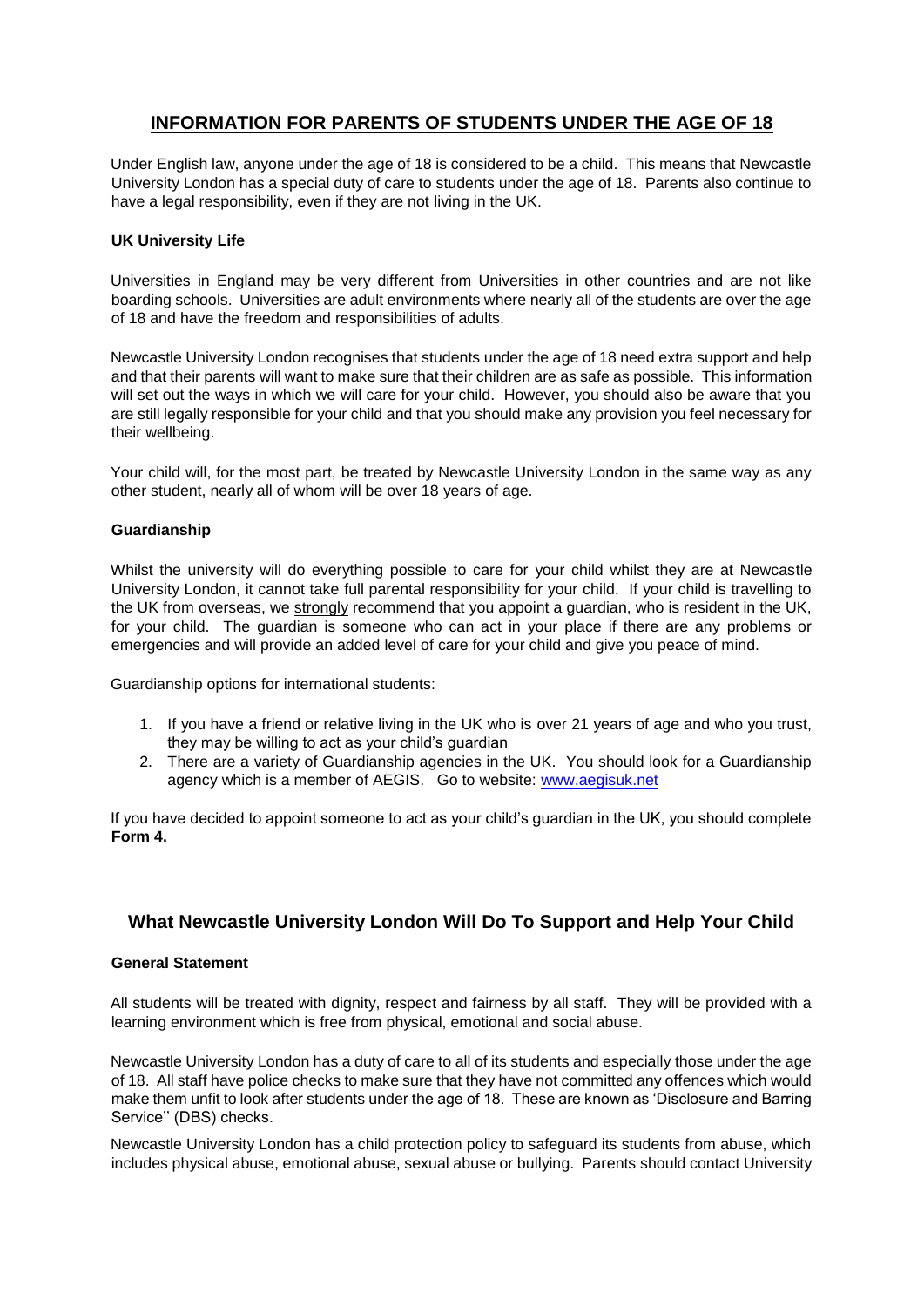# **INFORMATION FOR PARENTS OF STUDENTS UNDER THE AGE OF 18**

Under English law, anyone under the age of 18 is considered to be a child. This means that Newcastle University London has a special duty of care to students under the age of 18. Parents also continue to have a legal responsibility, even if they are not living in the UK.

## **UK University Life**

Universities in England may be very different from Universities in other countries and are not like boarding schools. Universities are adult environments where nearly all of the students are over the age of 18 and have the freedom and responsibilities of adults.

Newcastle University London recognises that students under the age of 18 need extra support and help and that their parents will want to make sure that their children are as safe as possible. This information will set out the ways in which we will care for your child. However, you should also be aware that you are still legally responsible for your child and that you should make any provision you feel necessary for their wellbeing.

Your child will, for the most part, be treated by Newcastle University London in the same way as any other student, nearly all of whom will be over 18 years of age.

### **Guardianship**

Whilst the university will do everything possible to care for your child whilst they are at Newcastle University London, it cannot take full parental responsibility for your child. If your child is travelling to the UK from overseas, we strongly recommend that you appoint a guardian, who is resident in the UK, for your child. The guardian is someone who can act in your place if there are any problems or emergencies and will provide an added level of care for your child and give you peace of mind.

Guardianship options for international students:

- 1. If you have a friend or relative living in the UK who is over 21 years of age and who you trust, they may be willing to act as your child's guardian
- 2. There are a variety of Guardianship agencies in the UK. You should look for a Guardianship agency which is a member of AEGIS. Go to website: www.aegisuk.net

If you have decided to appoint someone to act as your child's guardian in the UK, you should complete **Form 4.**

## **What Newcastle University London Will Do To Support and Help Your Child**

### **General Statement**

All students will be treated with dignity, respect and fairness by all staff. They will be provided with a learning environment which is free from physical, emotional and social abuse.

Newcastle University London has a duty of care to all of its students and especially those under the age of 18. All staff have police checks to make sure that they have not committed any offences which would make them unfit to look after students under the age of 18. These are known as 'Disclosure and Barring Service'' (DBS) checks.

Newcastle University London has a child protection policy to safeguard its students from abuse, which includes physical abuse, emotional abuse, sexual abuse or bullying. Parents should contact University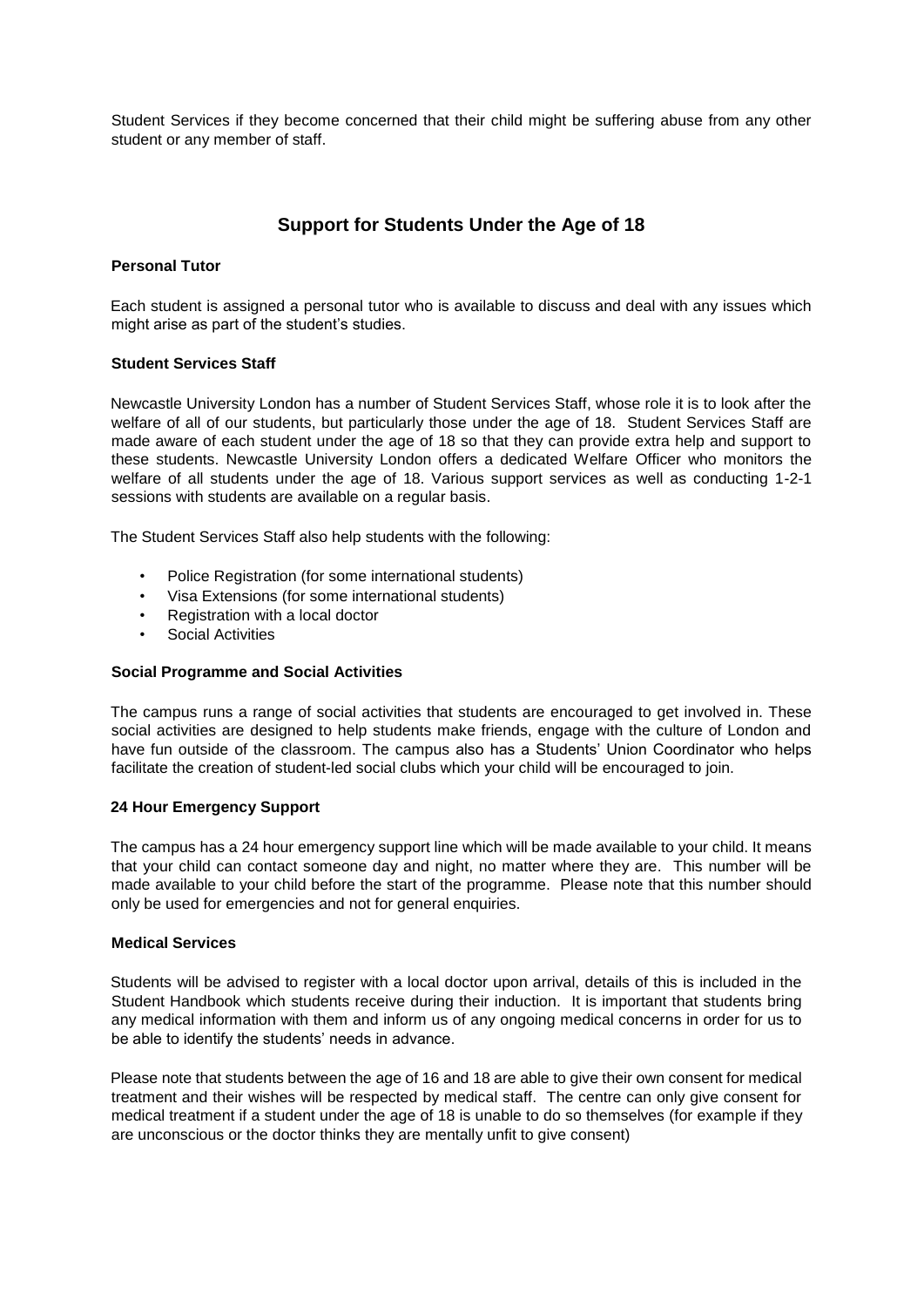Student Services if they become concerned that their child might be suffering abuse from any other student or any member of staff.

## **Support for Students Under the Age of 18**

## **Personal Tutor**

Each student is assigned a personal tutor who is available to discuss and deal with any issues which might arise as part of the student's studies.

### **Student Services Staff**

Newcastle University London has a number of Student Services Staff, whose role it is to look after the welfare of all of our students, but particularly those under the age of 18. Student Services Staff are made aware of each student under the age of 18 so that they can provide extra help and support to these students. Newcastle University London offers a dedicated Welfare Officer who monitors the welfare of all students under the age of 18. Various support services as well as conducting 1-2-1 sessions with students are available on a regular basis.

The Student Services Staff also help students with the following:

- Police Registration (for some international students)
- Visa Extensions (for some international students)
- Registration with a local doctor
- Social Activities

## **Social Programme and Social Activities**

The campus runs a range of social activities that students are encouraged to get involved in. These social activities are designed to help students make friends, engage with the culture of London and have fun outside of the classroom. The campus also has a Students' Union Coordinator who helps facilitate the creation of student-led social clubs which your child will be encouraged to join.

### **24 Hour Emergency Support**

The campus has a 24 hour emergency support line which will be made available to your child. It means that your child can contact someone day and night, no matter where they are. This number will be made available to your child before the start of the programme. Please note that this number should only be used for emergencies and not for general enquiries.

## **Medical Services**

Students will be advised to register with a local doctor upon arrival, details of this is included in the Student Handbook which students receive during their induction. It is important that students bring any medical information with them and inform us of any ongoing medical concerns in order for us to be able to identify the students' needs in advance.

Please note that students between the age of 16 and 18 are able to give their own consent for medical treatment and their wishes will be respected by medical staff. The centre can only give consent for medical treatment if a student under the age of 18 is unable to do so themselves (for example if they are unconscious or the doctor thinks they are mentally unfit to give consent)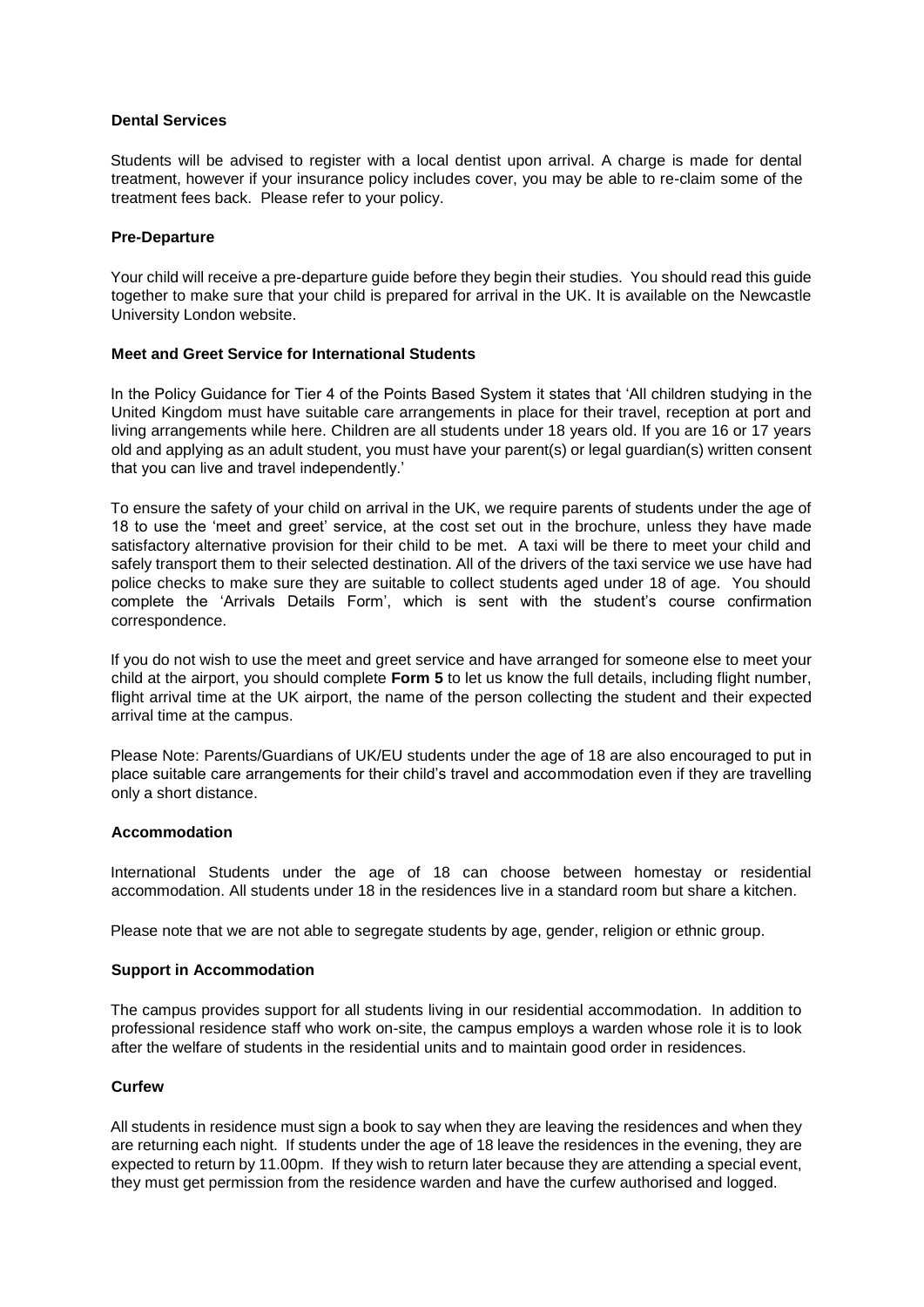## **Dental Services**

Students will be advised to register with a local dentist upon arrival. A charge is made for dental treatment, however if your insurance policy includes cover, you may be able to re-claim some of the treatment fees back. Please refer to your policy.

## **Pre-Departure**

Your child will receive a pre-departure guide before they begin their studies. You should read this guide together to make sure that your child is prepared for arrival in the UK. It is available on the Newcastle University London website.

## **Meet and Greet Service for International Students**

In the Policy Guidance for Tier 4 of the Points Based System it states that 'All children studying in the United Kingdom must have suitable care arrangements in place for their travel, reception at port and living arrangements while here. Children are all students under 18 years old. If you are 16 or 17 years old and applying as an adult student, you must have your parent(s) or legal guardian(s) written consent that you can live and travel independently.'

To ensure the safety of your child on arrival in the UK, we require parents of students under the age of 18 to use the 'meet and greet' service, at the cost set out in the brochure, unless they have made satisfactory alternative provision for their child to be met. A taxi will be there to meet your child and safely transport them to their selected destination. All of the drivers of the taxi service we use have had police checks to make sure they are suitable to collect students aged under 18 of age. You should complete the 'Arrivals Details Form', which is sent with the student's course confirmation correspondence.

If you do not wish to use the meet and greet service and have arranged for someone else to meet your child at the airport, you should complete **Form 5** to let us know the full details, including flight number, flight arrival time at the UK airport, the name of the person collecting the student and their expected arrival time at the campus.

Please Note: Parents/Guardians of UK/EU students under the age of 18 are also encouraged to put in place suitable care arrangements for their child's travel and accommodation even if they are travelling only a short distance.

### **Accommodation**

International Students under the age of 18 can choose between homestay or residential accommodation. All students under 18 in the residences live in a standard room but share a kitchen.

Please note that we are not able to segregate students by age, gender, religion or ethnic group.

### **Support in Accommodation**

The campus provides support for all students living in our residential accommodation. In addition to professional residence staff who work on-site, the campus employs a warden whose role it is to look after the welfare of students in the residential units and to maintain good order in residences.

### **Curfew**

All students in residence must sign a book to say when they are leaving the residences and when they are returning each night. If students under the age of 18 leave the residences in the evening, they are expected to return by 11.00pm. If they wish to return later because they are attending a special event, they must get permission from the residence warden and have the curfew authorised and logged.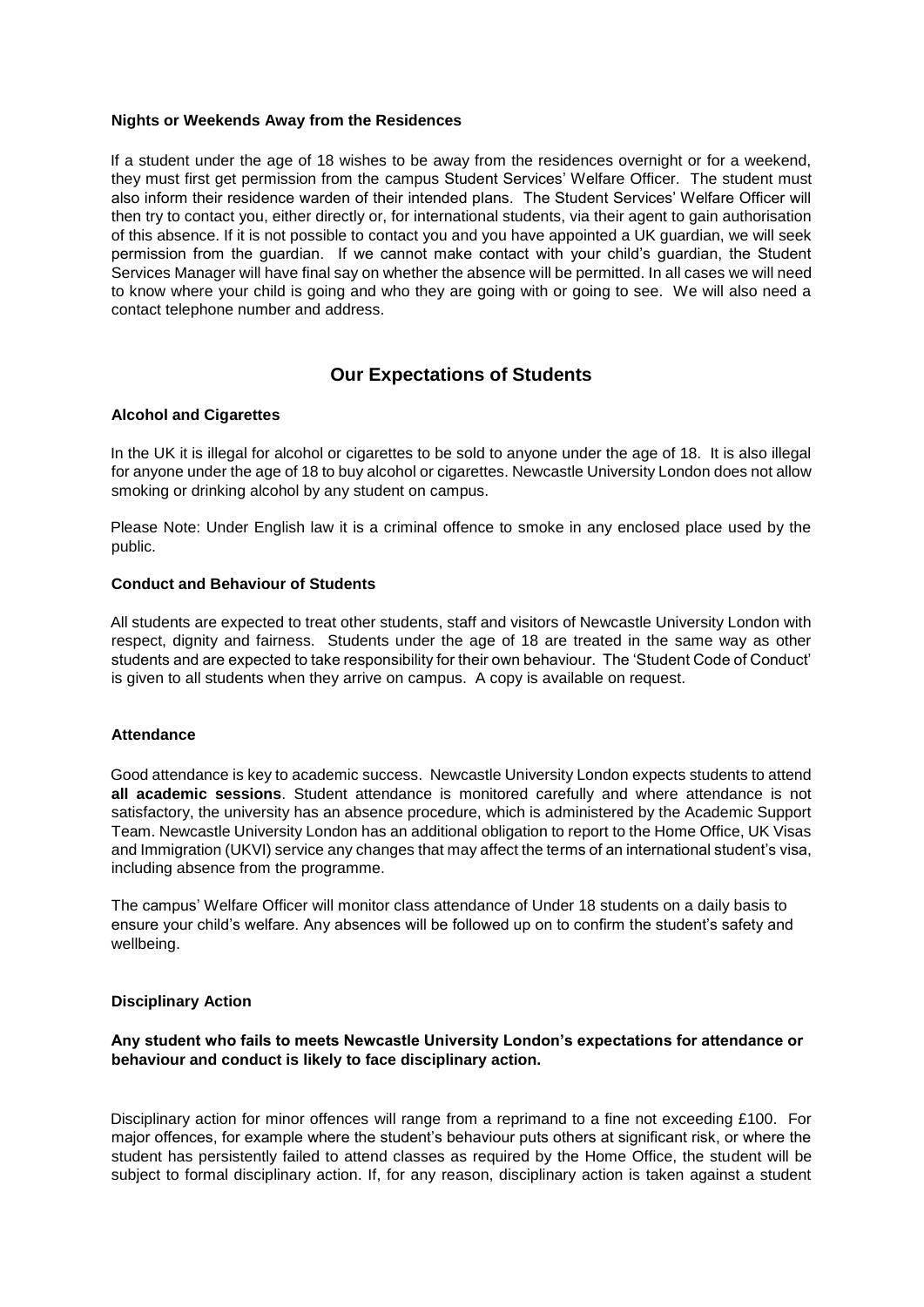### **Nights or Weekends Away from the Residences**

If a student under the age of 18 wishes to be away from the residences overnight or for a weekend, they must first get permission from the campus Student Services' Welfare Officer. The student must also inform their residence warden of their intended plans. The Student Services' Welfare Officer will then try to contact you, either directly or, for international students, via their agent to gain authorisation of this absence. If it is not possible to contact you and you have appointed a UK guardian, we will seek permission from the guardian. If we cannot make contact with your child's guardian, the Student Services Manager will have final say on whether the absence will be permitted. In all cases we will need to know where your child is going and who they are going with or going to see. We will also need a contact telephone number and address.

## **Our Expectations of Students**

## **Alcohol and Cigarettes**

In the UK it is illegal for alcohol or cigarettes to be sold to anyone under the age of 18. It is also illegal for anyone under the age of 18 to buy alcohol or cigarettes. Newcastle University London does not allow smoking or drinking alcohol by any student on campus.

Please Note: Under English law it is a criminal offence to smoke in any enclosed place used by the public.

### **Conduct and Behaviour of Students**

All students are expected to treat other students, staff and visitors of Newcastle University London with respect, dignity and fairness. Students under the age of 18 are treated in the same way as other students and are expected to take responsibility for their own behaviour. The 'Student Code of Conduct' is given to all students when they arrive on campus. A copy is available on request.

### **Attendance**

Good attendance is key to academic success. Newcastle University London expects students to attend **all academic sessions**. Student attendance is monitored carefully and where attendance is not satisfactory, the university has an absence procedure, which is administered by the Academic Support Team. Newcastle University London has an additional obligation to report to the Home Office, UK Visas and Immigration (UKVI) service any changes that may affect the terms of an international student's visa, including absence from the programme.

The campus' Welfare Officer will monitor class attendance of Under 18 students on a daily basis to ensure your child's welfare. Any absences will be followed up on to confirm the student's safety and wellbeing.

### **Disciplinary Action**

## **Any student who fails to meets Newcastle University London's expectations for attendance or behaviour and conduct is likely to face disciplinary action.**

Disciplinary action for minor offences will range from a reprimand to a fine not exceeding £100. For major offences, for example where the student's behaviour puts others at significant risk, or where the student has persistently failed to attend classes as required by the Home Office, the student will be subject to formal disciplinary action. If, for any reason, disciplinary action is taken against a student